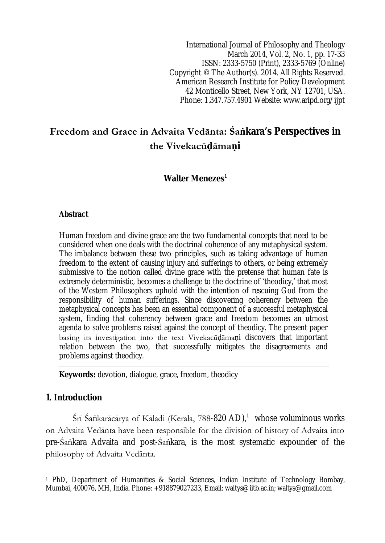International Journal of Philosophy and Theology March 2014, Vol. 2, No. 1, pp. 17-33 ISSN: 2333-5750 (Print), 2333-5769 (Online) Copyright © The Author(s). 2014. All Rights Reserved. American Research Institute for Policy Development 42 Monticello Street, New York, NY 12701, USA. Phone: 1.347.757.4901 Website: www.aripd.org/ijpt

# **Freedom and Grace in Advaita Vedānta: Śaṅkara's Perspectives in the Vivekacūḍāmaṇi**

# **Walter Menezes<sup>1</sup>**

#### **Abstract**

Human freedom and divine grace are the two fundamental concepts that need to be considered when one deals with the doctrinal coherence of any metaphysical system. The imbalance between these two principles, such as taking advantage of human freedom to the extent of causing injury and sufferings to others, or being extremely submissive to the notion called divine grace with the pretense that human fate is extremely deterministic, becomes a challenge to the doctrine of 'theodicy,' that most of the Western Philosophers uphold with the intention of rescuing God from the responsibility of human sufferings. Since discovering coherency between the metaphysical concepts has been an essential component of a successful metaphysical system, finding that coherency between grace and freedom becomes an utmost agenda to solve problems raised against the concept of theodicy. The present paper basing its investigation into the text Vivekacūḍāmaṇi discovers that important relation between the two, that successfully mitigates the disagreements and problems against theodicy.

**Keywords:** devotion, dialogue, grace, freedom, theodicy

#### **1. Introduction**

 $\overline{\phantom{a}}$ 

Śrī Śaṅkarācārya of Kāladi (Kerala, 788-**820 AD)**, $^1$  whose voluminous works on Advaita Vedānta have been responsible for the division of history of Advaita into pre-Śaṅkara Advaita and post-Śaṅkara, is the most systematic expounder of the philosophy of Advaita Vedānta.

<sup>1</sup> PhD, Department of Humanities & Social Sciences, Indian Institute of Technology Bombay, Mumbai, 400076, MH, India. Phone: +918879027233, Email: waltys@iitb.ac.in; waltys@gmail.com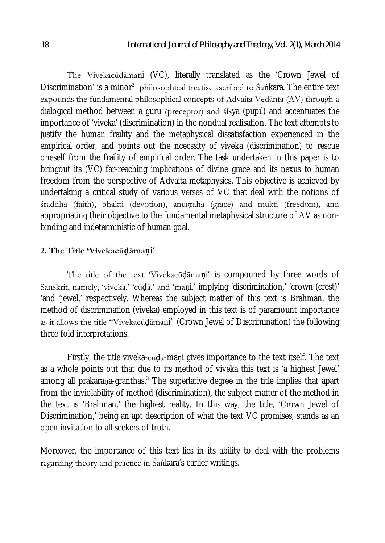The Vivekacūḍāmaṇi (VC), literally translated as the 'Crown Jewel of Discrimination' is a minor<sup>2</sup> philosophical treatise ascribed to Śankara. The entire text expounds the fundamental philosophical concepts of Advaita Vedānta (AV) through a dialogical method between a guru (preceptor) and śiṣya (pupil) and accentuates the importance of 'viveka' (discrimination) in the nondual realisation. The text attempts to justify the human fraility and the metaphysical dissatisfaction experienced in the empirical order, and points out the ncecssity of viveka (discrimination) to rescue oneself from the fraility of empirical order. The task undertaken in this paper is to bringout its (VC) far-reaching implications of divine grace and its nexus to human freedom from the perspective of Advaita metaphysics. This objective is achieved by undertaking a critical study of various verses of VC that deal with the notions of śraddha (faith), bhakti (devotion), anugraha (grace) and mukti (freedom), and appropriating their objective to the fundamental metaphysical structure of AV as nonbinding and indeterministic of human goal.

#### **2. The Title 'Vivekacūḍāmaṇi'**

The title of the text 'Vivekacūḍāmaṇi' is compouned by three words of Sanskrit, namely, 'viveka,' 'cūḍā,' and 'maṇi,' implying 'discrimination,' 'crown (crest)' 'and 'jewel,' respectively. Whereas the subject matter of this text is Brahman, the method of discrimination (viveka) employed in this text is of paramount importance as it allows the title "Vivekacūḍāmaṇi" (Crown Jewel of Discrimination) the following three fold interpretations.

Firstly, the title viveka-cūḍā-maṇi gives importance to the text itself. The text as a whole points out that due to its method of viveka this text is 'a highest Jewel' among all prakarana-granthas.<sup>3</sup> The superlative degree in the title implies that apart from the inviolability of method (discrimination), the subject matter of the method in the text is 'Brahman,' the highest reality. In this way, the title, 'Crown Jewel of Discrimination,' being an apt description of what the text VC promises, stands as an open invitation to all seekers of truth.

Moreover, the importance of this text lies in its ability to deal with the problems regarding theory and practice in Śaṅkara's earlier writings.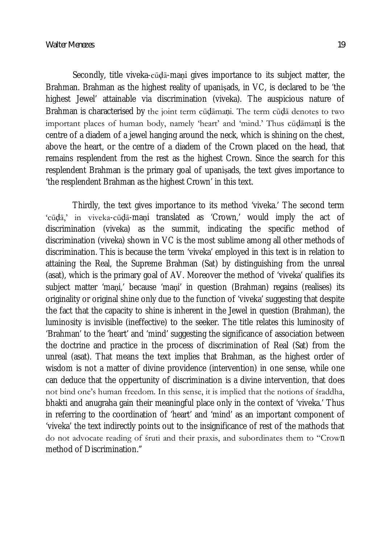Secondly, title viveka-cūḍā-maṇi gives importance to its subject matter, the Brahman. Brahman as the highest reality of upanisads, in VC, is declared to be 'the highest Jewel' attainable via discrimination (viveka). The auspicious nature of Brahman is characterised by the joint term cūḍāmaṇi. The term cūḍā denotes to two important places of human body, namely 'heart' and 'mind.' Thus cūḍāmaṇi is the centre of a diadem of a jewel hanging around the neck, which is shining on the chest, above the heart, or the centre of a diadem of the Crown placed on the head, that remains resplendent from the rest as the highest Crown. Since the search for this resplendent Brahman is the primary goal of upaniṣads, the text gives importance to 'the resplendent Brahman as the highest Crown' in this text.

Thirdly, the text gives importance to its method 'viveka.' The second term 'cūḍā,' in viveka-cūḍā-maṇi translated as 'Crown,' would imply the act of discrimination (viveka) as the summit, indicating the specific method of discrimination (viveka) shown in VC is the most sublime among all other methods of discrimination. This is because the term 'viveka' employed in this text is in relation to attaining the Real, the Supreme Brahman (Sat) by distinguishing from the unreal (asat), which is the primary goal of AV. Moreover the method of 'viveka' qualifies its subject matter 'maṇi,' because 'maṇi' in question (Brahman) regains (realises) its originality or original shine only due to the function of 'viveka' suggesting that despite the fact that the capacity to shine is inherent in the Jewel in question (Brahman), the luminosity is invisible (ineffective) to the seeker. The title relates this luminosity of 'Brahman' to the 'heart' and 'mind' suggesting the significance of association between the doctrine and practice in the process of discrimination of Real (Sat) from the unreal (asat). That means the text implies that Brahman, as the highest order of wisdom is not a matter of divine providence (intervention) in one sense, while one can deduce that the oppertunity of discrimination is a divine intervention, that does not bind one's human freedom. In this sense, it is implied that the notions of śraddha, bhakti and anugraha gain their meaningful place only in the context of 'viveka.' Thus in referring to the coordination of 'heart' and 'mind' as an important component of 'viveka' the text indirectly points out to the insignificance of rest of the mathods that do not advocate reading of śruti and their praxis, and subordinates them to "Crown method of Discrimination."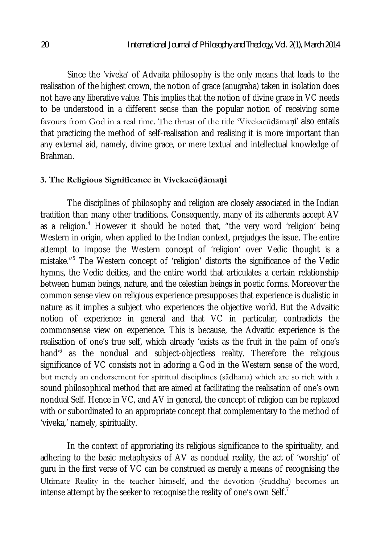Since the 'viveka' of Advaita philosophy is the only means that leads to the realisation of the highest crown, the notion of grace (anugraha) taken in isolation does not have any liberative value. This implies that the notion of divine grace in VC needs to be understood in a different sense than the popular notion of receiving some favours from God in a real time. The thrust of the title 'Vivekacūḍāmaṇi' also entails that practicing the method of self-realisation and realising it is more important than any external aid, namely, divine grace, or mere textual and intellectual knowledge of Brahman.

### **3. The Religious Significance in Vivekacūḍāmaṇi**

The disciplines of philosophy and religion are closely associated in the Indian tradition than many other traditions. Consequently, many of its adherents accept AV as a religion.<sup>4</sup> However it should be noted that, "the very word 'religion' being Western in origin, when applied to the Indian context, prejudges the issue. The entire attempt to impose the Western concept of 'religion' over Vedic thought is a mistake."<sup>5</sup> The Western concept of 'religion' distorts the significance of the Vedic hymns, the Vedic deities, and the entire world that articulates a certain relationship between human beings, nature, and the celestian beings in poetic forms. Moreover the common sense view on religious experience presupposes that experience is dualistic in nature as it implies a subject who experiences the objective world. But the Advaitic notion of experience in general and that VC in particular, contradicts the commonsense view on experience. This is because, the Advaitic experience is the realisation of one's true self, which already 'exists as the fruit in the palm of one's hand'<sup>6</sup> as the nondual and subject-objectless reality. Therefore the religious significance of VC consists not in adoring a God in the Western sense of the word, but merely an endorsement for spiritual disciplines (sādhana) which are so rich with a sound philosophical method that are aimed at facilitating the realisation of one's own nondual Self. Hence in VC, and AV in general, the concept of religion can be replaced with or subordinated to an appropriate concept that complementary to the method of 'viveka,' namely, spirituality.

In the context of approriating its religious significance to the spirituality, and adhering to the basic metaphysics of AV as nondual reality, the act of 'worship' of guru in the first verse of VC can be construed as merely a means of recognising the Ultimate Reality in the teacher himself, and the devotion (śraddha) becomes an intense attempt by the seeker to recognise the reality of one's own Self.<sup>7</sup>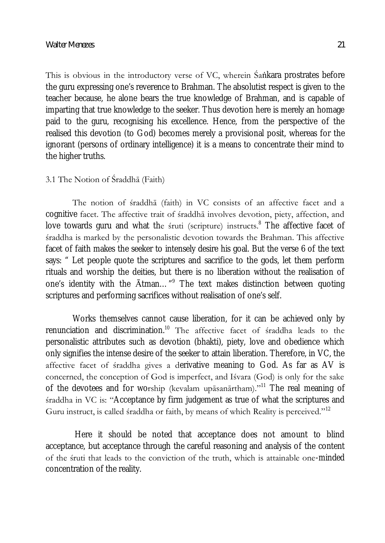This is obvious in the introductory verse of VC, wherein Sankara prostrates before the guru expressing one's reverence to Brahman. The absolutist respect is given to the teacher because, he alone bears the true knowledge of Brahman, and is capable of imparting that true knowledge to the seeker. Thus devotion here is merely an homage paid to the guru, recognising his excellence. Hence, from the perspective of the realised this devotion (to God) becomes merely a provisional posit, whereas for the ignorant (persons of ordinary intelligence) it is a means to concentrate their mind to the higher truths.

## 3.1 The Notion of Śraddhā (Faith)

The notion of śraddhā (faith) in VC consists of an affective facet and a cognitive facet. The affective trait of śraddhā involves devotion, piety, affection, and love towards guru and what the  $\frac{1}{2}$  (scripture) instructs.<sup>8</sup> The affective facet of śraddha is marked by the personalistic devotion towards the Brahman. This affective facet of faith makes the seeker to intensely desire his goal. But the verse 6 of the text says: " Let people quote the scriptures and sacrifice to the gods, let them perform rituals and worship the deities, but there is no liberation without the realisation of one's identity with the  $\bar{A}$ tman..."<sup>9</sup> The text makes distinction between quoting scriptures and performing sacrifices without realisation of one's self.

Works themselves cannot cause liberation, for it can be achieved only by renunciation and discrimination.<sup>10</sup> The affective facet of straddha leads to the personalistic attributes such as devotion (bhakti), piety, love and obedience which only signifies the intense desire of the seeker to attain liberation. Therefore, in VC, the affective facet of śraddha gives a derivative meaning to God. As far as AV is concerned, the conception of God is imperfect, and Iśvara (God) is only for the sake of the devotees and for worship (kevalam upāsanārtham)."<sup>11</sup> The real meaning of śraddha in VC is: "Acceptance by firm judgement as true of what the scriptures and Guru instruct, is called śraddha or faith, by means of which Reality is perceived."<sup>12</sup>

Here it should be noted that acceptance does not amount to blind acceptance, but acceptance through the careful reasoning and analysis of the content of the śruti that leads to the conviction of the truth, which is attainable one-minded concentration of the reality.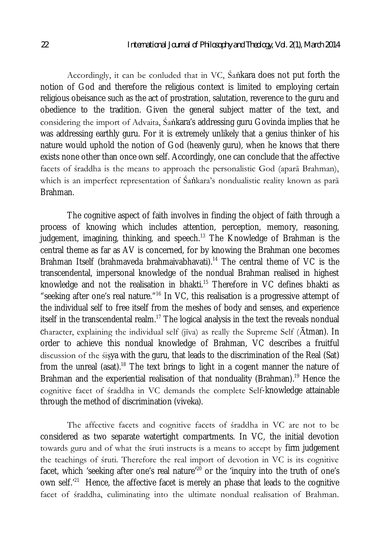Accordingly, it can be conluded that in VC, Śaṅkara does not put forth the notion of God and therefore the religious context is limited to employing certain religious obeisance such as the act of prostration, salutation, reverence to the guru and obedience to the tradition. Given the general subject matter of the text, and considering the import of Advaita, Śaṅkara's addressing guru Govinda implies that he was addressing earthly guru. For it is extremely unlikely that a genius thinker of his nature would uphold the notion of God (heavenly guru), when he knows that there exists none other than once own self. Accordingly, one can conclude that the affective facets of śraddha is the means to approach the personalistic God (aparā Brahman), which is an imperfect representation of Śaṅkara's nondualistic reality known as parā Brahman.

The cognitive aspect of faith involves in finding the object of faith through a process of knowing which includes attention, perception, memory, reasoning, judgement, imagining, thinking, and speech.<sup>13</sup> The Knowledge of Brahman is the central theme as far as AV is concerned, for by knowing the Brahman one becomes Brahman Itself (brahmaveda brahmaivabhavati).<sup>14</sup> The central theme of VC is the transcendental, impersonal knowledge of the nondual Brahman realised in highest knowledge and not the realisation in bhakti.<sup>15</sup> Therefore in VC defines bhakti as "seeking after one's real nature."<sup>16</sup> In VC, this realisation is a progressive attempt of the individual self to free itself from the meshes of body and senses, and experience itself in the transcendental realm.<sup>17</sup> The logical analysis in the text the reveals nondual character, explaining the individual self ( $j\bar{v}$ a) as really the Supreme Self ( $\bar{A}$ tman). In order to achieve this nondual knowledge of Brahman, VC describes a fruitful discussion of the śiṣya with the guru, that leads to the discrimination of the Real (Sat) from the unreal (asat).<sup>18</sup> The text brings to light in a cogent manner the nature of Brahman and the experiential realisation of that nonduality (Brahman).<sup>19</sup> Hence the cognitive facet of śraddha in VC demands the complete Self-knowledge attainable through the method of discrimination (viveka).

The affective facets and cognitive facets of śraddha in VC are not to be considered as two separate watertight compartments. In VC, the initial devotion towards guru and of what the śruti instructs is a means to accept by firm judgement the teachings of śruti. Therefore the real import of devotion in VC is its cognitive facet, which 'seeking after one's real nature<sup> $20$ </sup> or the 'inquiry into the truth of one's own self.<sup>,21</sup> Hence, the affective facet is merely an phase that leads to the cognitive facet of śraddha, culiminating into the ultimate nondual realisation of Brahman.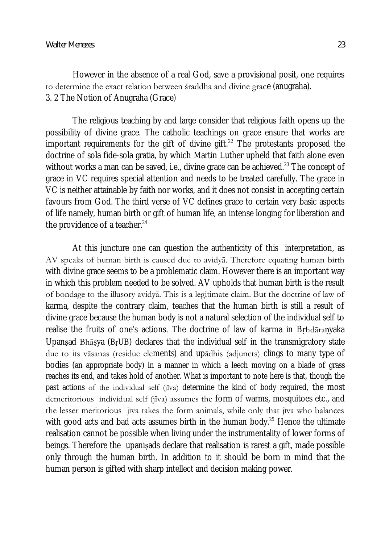However in the absence of a real God, save a provisional posit, one requires to determine the exact relation between śraddha and divine grace (anugraha). 3. 2 The Notion of Anugraha (Grace)

The religious teaching by and large consider that religious faith opens up the possibility of divine grace. The catholic teachings on grace ensure that works are important requirements for the gift of divine gift.<sup>22</sup> The protestants proposed the doctrine of sola fide-sola gratia, by which Martin Luther upheld that faith alone even without works a man can be saved, i.e., divine grace can be achieved.<sup>23</sup> The concept of grace in VC requires special attention and needs to be treated carefully. The grace in VC is neither attainable by faith nor works, and it does not consist in accepting certain favours from God. The third verse of VC defines grace to certain very basic aspects of life namely, human birth or gift of human life, an intense longing for liberation and the providence of a teacher. $^{24}$ 

At this juncture one can question the authenticity of this interpretation, as AV speaks of human birth is caused due to avidyā. Therefore equating human birth with divine grace seems to be a problematic claim. However there is an important way in which this problem needed to be solved. AV upholds that human birth is the result of bondage to the illusory avidyā. This is a legitimate claim. But the doctrine of law of karma, despite the contrary claim, teaches that the human birth is still a result of divine grace because the human body is not a natural selection of the individual self to realise the fruits of one's actions. The doctrine of law of karma in Bṛhdāraṇyaka Upanṣad Bhāṣya (BṛUB) declares that the individual self in the transmigratory state due to its vāsanas (residue elements) and upādhis (adjuncts) clings to many type of bodies (an appropriate body) in a manner in which a leech moving on a blade of grass reaches its end, and takes hold of another. What is important to note here is that, though the past actions of the individual self (jīva) determine the kind of body required, the most demeritorious individual self (jīva) assumes the form of warms, mosquitoes etc., and the lesser meritorious jīva takes the form animals, while only that jīva who balances with good acts and bad acts assumes birth in the human body. $25$  Hence the ultimate realisation cannot be possible when living under the instrumentality of lower forms of beings. Therefore the upaniṣads declare that realisation is rarest a gift, made possible only through the human birth. In addition to it should be born in mind that the human person is gifted with sharp intellect and decision making power.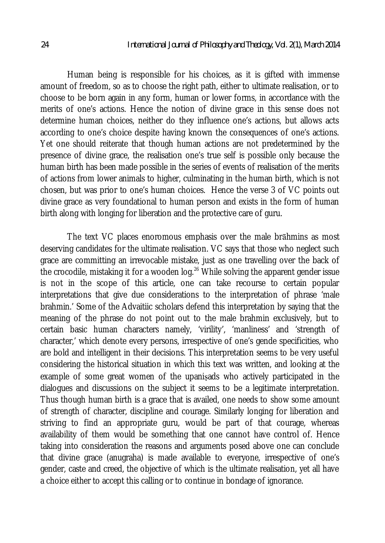Human being is responsible for his choices, as it is gifted with immense amount of freedom, so as to choose the right path, either to ultimate realisation, or to choose to be born again in any form, human or lower forms, in accordance with the merits of one's actions. Hence the notion of divine grace in this sense does not determine human choices, neither do they influence one's actions, but allows acts according to one's choice despite having known the consequences of one's actions. Yet one should reiterate that though human actions are not predetermined by the presence of divine grace, the realisation one's true self is possible only because the human birth has been made possible in the series of events of realisation of the merits of actions from lower animals to higher, culminating in the human birth, which is not chosen, but was prior to one's human choices. Hence the verse 3 of VC points out divine grace as very foundational to human person and exists in the form of human birth along with longing for liberation and the protective care of guru.

The text VC places enoromous emphasis over the male brāhmins as most deserving candidates for the ultimate realisation. VC says that those who neglect such grace are committing an irrevocable mistake, just as one travelling over the back of the crocodile, mistaking it for a wooden log.<sup>26</sup> While solving the apparent gender issue is not in the scope of this article, one can take recourse to certain popular interpretations that give due considerations to the interpretation of phrase 'male brahmin.' Some of the Advaitiic scholars defend this interpretation by saying that the meaning of the phrase do not point out to the male brahmin exclusively, but to certain basic human characters namely, 'virility', 'manliness' and 'strength of character,' which denote every persons, irrespective of one's gende specificities, who are bold and intelligent in their decisions. This interpretation seems to be very useful considering the historical situation in which this text was written, and looking at the example of some great women of the upaniṣads who actively participated in the dialogues and discussions on the subject it seems to be a legitimate interpretation. Thus though human birth is a grace that is availed, one needs to show some amount of strength of character, discipline and courage. Similarly longing for liberation and striving to find an appropriate guru, would be part of that courage, whereas availability of them would be something that one cannot have control of. Hence taking into consideration the reasons and arguments posed above one can conclude that divine grace (anugraha) is made available to everyone, irrespective of one's gender, caste and creed, the objective of which is the ultimate realisation, yet all have a choice either to accept this calling or to continue in bondage of ignorance.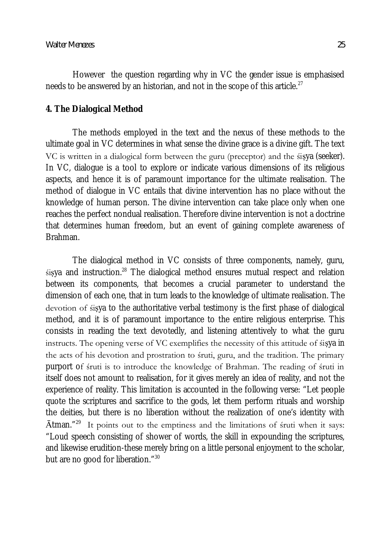However the question regarding why in VC the gender issue is emphasised needs to be answered by an historian, and not in the scope of this article. $^{27}$ 

# **4. The Dialogical Method**

The methods employed in the text and the nexus of these methods to the ultimate goal in VC determines in what sense the divine grace is a divine gift. The text VC is written in a dialogical form between the guru (preceptor) and the śiṣya (seeker). In VC, dialogue is a tool to explore or indicate various dimensions of its religious aspects, and hence it is of paramount importance for the ultimate realisation. The method of dialogue in VC entails that divine intervention has no place without the knowledge of human person. The divine intervention can take place only when one reaches the perfect nondual realisation. Therefore divine intervention is not a doctrine that determines human freedom, but an event of gaining complete awareness of Brahman.

The dialogical method in VC consists of three components, namely, guru,  $sisya$  and instruction.<sup>28</sup> The dialogical method ensures mutual respect and relation between its components, that becomes a crucial parameter to understand the dimension of each one, that in turn leads to the knowledge of ultimate realisation. The devotion of śiṣya to the authoritative verbal testimony is the first phase of dialogical method, and it is of paramount importance to the entire religious enterprise. This consists in reading the text devotedly, and listening attentively to what the guru instructs. The opening verse of VC exemplifies the necessity of this attitude of śiṣya in the acts of his devotion and prostration to śruti, guru, and the tradition. The primary purport of śruti is to introduce the knowledge of Brahman. The reading of śruti in itself does not amount to realisation, for it gives merely an idea of reality, and not the experience of reality. This limitation is accounted in the following verse: "Let people quote the scriptures and sacrifice to the gods, let them perform rituals and worship the deities, but there is no liberation without the realization of one's identity with  $\bar{A}$ tman."<sup>29</sup> It points out to the emptiness and the limitations of śruti when it says: "Loud speech consisting of shower of words, the skill in expounding the scriptures, and likewise erudition-these merely bring on a little personal enjoyment to the scholar, but are no good for liberation."<sup>30</sup>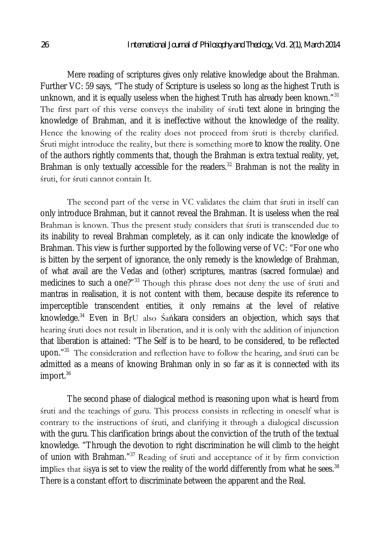Mere reading of scriptures gives only relative knowledge about the Brahman. Further VC: 59 says, "The study of Scripture is useless so long as the highest Truth is unknown, and it is equally useless when the highest  $T$ ruth has already been known." $^{31}$ The first part of this verse conveys the inability of śruti text alone in bringing the knowledge of Brahman, and it is ineffective without the knowledge of the reality. Hence the knowing of the reality does not proceed from śruti is thereby clarified. Śruti might introduce the reality, but there is something more to know the reality. One of the authors rightly comments that, though the Brahman is extra textual reality, yet, Brahman is only textually accessible for the readers. $32$  Brahman is not the reality in śruti, for śruti cannot contain It.

The second part of the verse in VC validates the claim that śruti in itself can only introduce Brahman, but it cannot reveal the Brahman. It is useless when the real Brahman is known. Thus the present study considers that śruti is transcended due to its inability to reveal Brahman completely, as it can only indicate the knowledge of Brahman. This view is further supported by the following verse of VC: "For one who is bitten by the serpent of ignorance, the only remedy is the knowledge of Brahman, of what avail are the Vedas and (other) scriptures, mantras (sacred formulae) and medicines to such a one?"<sup>33</sup> Though this phrase does not deny the use of śruti and mantras in realisation, it is not content with them, because despite its reference to imperceptible transcendent entities, it only remains at the level of relative knowledge.<sup>34</sup> Even in BṛU also Śaṅkara considers an objection, which says that hearing śruti does not result in liberation, and it is only with the addition of injunction that liberation is attained: "The Self is to be heard, to be considered, to be reflected upon."<sup>35</sup> The consideration and reflection have to follow the hearing, and śruti can be admitted as a means of knowing Brahman only in so far as it is connected with its import.<sup>36</sup>

The second phase of dialogical method is reasoning upon what is heard from śruti and the teachings of guru. This process consists in reflecting in oneself what is contrary to the instructions of śruti, and clarifying it through a dialogical discussion with the guru. This clarification brings about the conviction of the truth of the textual knowledge. "Through the devotion to right discrimination he will climb to the height of union with Brahman."<sup>37</sup> Reading of śruti and acceptance of it by firm conviction implies that śiṣya is set to view the reality of the world differently from what he sees. $^{38}$ There is a constant effort to discriminate between the apparent and the Real.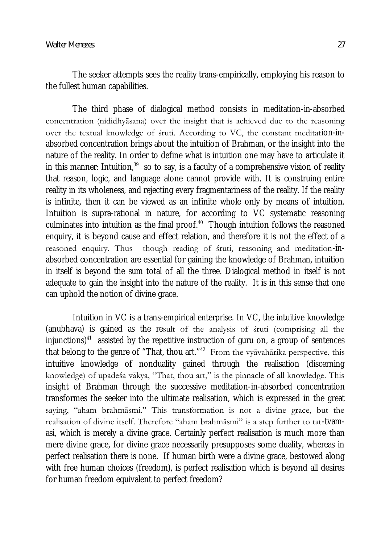The seeker attempts sees the reality trans-empirically, employing his reason to the fullest human capabilities.

The third phase of dialogical method consists in meditation-in-absorbed concentration (nididhyāsana) over the insight that is achieved due to the reasoning over the textual knowledge of śruti. According to VC, the constant meditation-inabsorbed concentration brings about the intuition of Brahman, or the insight into the nature of the reality. In order to define what is intuition one may have to articulate it in this manner: Intuition,<sup>39</sup> so to say, is a faculty of a comprehensive vision of reality that reason, logic, and language alone cannot provide with. It is construing entire reality in its wholeness, and rejecting every fragmentariness of the reality. If the reality is infinite, then it can be viewed as an infinite whole only by means of intuition. Intuition is supra-rational in nature, for according to VC systematic reasoning culminates into intuition as the final proof. $40$  Though intuition follows the reasoned enquiry, it is beyond cause and effect relation, and therefore it is not the effect of a reasoned enquiry. Thus though reading of śruti, reasoning and meditation-inabsorbed concentration are essential for gaining the knowledge of Brahman, intuition in itself is beyond the sum total of all the three. Dialogical method in itself is not adequate to gain the insight into the nature of the reality. It is in this sense that one can uphold the notion of divine grace.

Intuition in VC is a trans-empirical enterprise. In VC, the intuitive knowledge (anubhava) is gained as the result of the analysis of śruti (comprising all the injunctions) $41$  assisted by the repetitive instruction of guru on, a group of sentences that belong to the genre of "That, thou art."<sup>42</sup> From the vyāvahārika perspective, this intuitive knowledge of nonduality gained through the realisation (discerning knowledge) of upadeśa vākya, "That, thou art," is the pinnacle of all knowledge. This insight of Brahman through the successive meditation-in-absorbed concentration transformes the seeker into the ultimate realisation, which is expressed in the great saying, "aham brahmāsmi." This transformation is not a divine grace, but the realisation of divine itself. Therefore "aham brahmāsmi" is a step further to tat-tvamasi, which is merely a divine grace. Certainly perfect realisation is much more than mere divine grace, for divine grace necessarily presupposes some duality, whereas in perfect realisation there is none. If human birth were a divine grace, bestowed along with free human choices (freedom), is perfect realisation which is beyond all desires for human freedom equivalent to perfect freedom?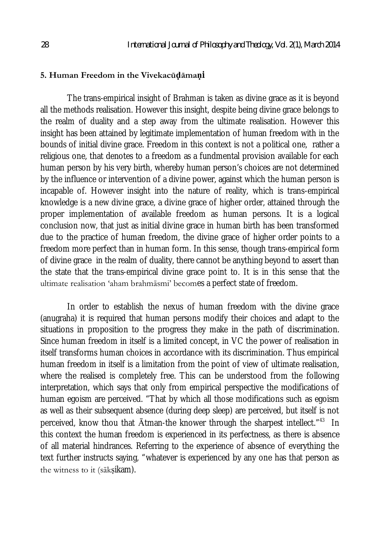### **5. Human Freedom in the Vivekacūḍāmaṇi**

The trans-empirical insight of Brahman is taken as divine grace as it is beyond all the methods realisation. However this insight, despite being divine grace belongs to the realm of duality and a step away from the ultimate realisation. However this insight has been attained by legitimate implementation of human freedom with in the bounds of initial divine grace. Freedom in this context is not a political one, rather a religious one, that denotes to a freedom as a fundmental provision available for each human person by his very birth, whereby human person's choices are not determined by the influence or intervention of a divine power, against which the human person is incapable of. However insight into the nature of reality, which is trans-empirical knowledge is a new divine grace, a divine grace of higher order, attained through the proper implementation of available freedom as human persons. It is a logical conclusion now, that just as initial divine grace in human birth has been transformed due to the practice of human freedom, the divine grace of higher order points to a freedom more perfect than in human form. In this sense, though trans-empirical form of divine grace in the realm of duality, there cannot be anything beyond to assert than the state that the trans-empirical divine grace point to. It is in this sense that the ultimate realisation 'aham brahmāsmi' becomes a perfect state of freedom.

In order to establish the nexus of human freedom with the divine grace (anugraha) it is required that human persons modify their choices and adapt to the situations in proposition to the progress they make in the path of discrimination. Since human freedom in itself is a limited concept, in VC the power of realisation in itself transforms human choices in accordance with its discrimination. Thus empirical human freedom in itself is a limitation from the point of view of ultimate realisation, where the realised is completely free. This can be understood from the following interpretation, which says that only from empirical perspective the modifications of human egoism are perceived. "That by which all those modifications such as egoism as well as their subsequent absence (during deep sleep) are perceived, but itself is not perceived, know thou that  $\bar{\text{A}}$ tman-the knower through the sharpest intellect."<sup>43</sup> In this context the human freedom is experienced in its perfectness, as there is absence of all material hindrances. Referring to the experience of absence of everything the text further instructs saying, "whatever is experienced by any one has that person as the witness to it (sākṣikam).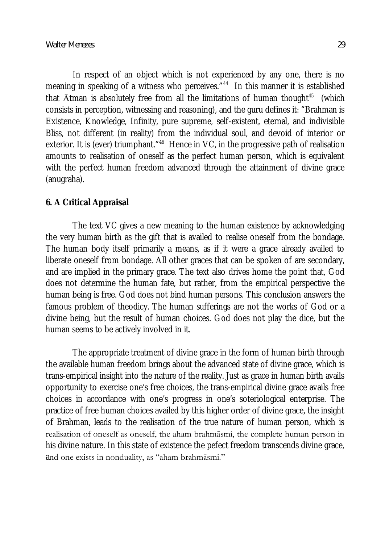In respect of an object which is not experienced by any one, there is no meaning in speaking of a witness who perceives."<sup>44</sup> In this manner it is established that  $\bar{\text{A}}$ tman is absolutely free from all the limitations of human thought<sup>45</sup> (which consists in perception, witnessing and reasoning), and the guru defines it: "Brahman is Existence, Knowledge, Infinity, pure supreme, self-existent, eternal, and indivisible Bliss, not different (in reality) from the individual soul, and devoid of interior or exterior. It is (ever) triumphant."<sup>46</sup> Hence in VC, in the progressive path of realisation amounts to realisation of oneself as the perfect human person, which is equivalent with the perfect human freedom advanced through the attainment of divine grace (anugraha).

# **6. A Critical Appraisal**

The text VC gives a new meaning to the human existence by acknowledging the very human birth as the gift that is availed to realise oneself from the bondage. The human body itself primarily a means, as if it were a grace already availed to liberate oneself from bondage. All other graces that can be spoken of are secondary, and are implied in the primary grace. The text also drives home the point that, God does not determine the human fate, but rather, from the empirical perspective the human being is free. God does not bind human persons. This conclusion answers the famous problem of theodicy. The human sufferings are not the works of God or a divine being, but the result of human choices. God does not play the dice, but the human seems to be actively involved in it.

The appropriate treatment of divine grace in the form of human birth through the available human freedom brings about the advanced state of divine grace, which is trans-empirical insight into the nature of the reality. Just as grace in human birth avails opportunity to exercise one's free choices, the trans-empirical divine grace avails free choices in accordance with one's progress in one's soteriological enterprise. The practice of free human choices availed by this higher order of divine grace, the insight of Brahman, leads to the realisation of the true nature of human person, which is realisation of oneself as oneself, the aham brahmāsmi, the complete human person in his divine nature. In this state of existence the pefect freedom transcends divine grace, and one exists in nonduality, as "aham brahmāsmi."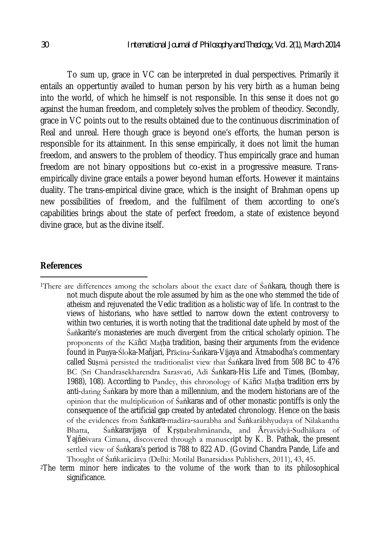To sum up, grace in VC can be interpreted in dual perspectives. Primarily it entails an oppertuntiy availed to human person by his very birth as a human being into the world, of which he himself is not responsible. In this sense it does not go against the human freedom, and completely solves the problem of theodicy. Secondly, grace in VC points out to the results obtained due to the continuous discrimination of Real and unreal. Here though grace is beyond one's efforts, the human person is responsible for its attainment. In this sense empirically, it does not limit the human freedom, and answers to the problem of theodicy. Thus empirically grace and human freedom are not binary oppositions but co-exist in a progressive measure. Transempirically divine grace entails a power beyond human efforts. However it maintains duality. The trans-empirical divine grace, which is the insight of Brahman opens up new possibilities of freedom, and the fulfilment of them according to one's capabilities brings about the state of perfect freedom, a state of existence beyond divine grace, but as the divine itself.

# **References**

 $\overline{a}$ 

- <sup>1</sup>There are differences among the scholars about the exact date of Śaṅkara, though there is not much dispute about the role assumed by him as the one who stemmed the tide of atheism and rejuvenated the Vedic tradition as a holistic way of life. In contrast to the views of historians, who have settled to narrow down the extent controversy to within two centuries, it is worth noting that the traditional date upheld by most of the Śaṅkarite's monasteries are much divergent from the critical scholarly opinion. The proponents of the Kāñcī Matha tradition, basing their arguments from the evidence found in Puṇya-Śloka-Mañjari, Prācīna-Śaṅkara-Vijaya and Ātmabodha's commentary called Susmā persisted the traditionalist view that Śaṅkara lived from 508 BC to 476 BC (Sri Chandrasekharendra Sarasvati, Adi Śaṅkara-His Life and Times, (Bombay, 1988), 108). According to Pandey, this chronology of Kāñcī Maṭḥa tradition errs by anti-dating Śaṅkara by more than a millennium, and the modern historians are of the opinion that the multiplication of Śaṅkaras and of other monastic pontiffs is only the consequence of the artificial gap created by antedated chronology. Hence on the basis of the evidences from Śaṅkara-madāra-saurabha and Śaṅkarābhyudaya of Nilakantha Bhatta, Śankaravijaya of Krsnabrahmānanda, and Āryavidyā-Sudhākara of Yajñeśvara Cimana, discovered through a manuscript by K. B. Pathak, the present settled view of Śaṅkara's period is 788 to 822 AD. (Govind Chandra Pande, Life and Thought of Śaṅkarācārya (Delhi: Motilal Banarsidass Publishers, 2011), 43, 45.
- <sup>2</sup>The term minor here indicates to the volume of the work than to its philosophical significance.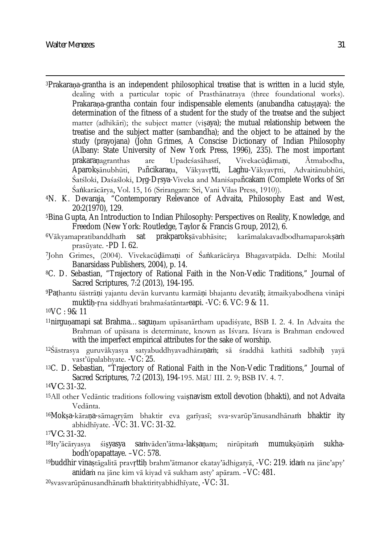- $\overline{\phantom{a}}$ <sup>3</sup>Prakarana-grantha is an independent philosophical treatise that is written in a lucid style, dealing with a particular topic of Prasthānatraya (three foundational works). Prakarana-grantha contain four indispensable elements (anubandha catustaya): the determination of the fitness of a student for the study of the treatse and the subject matter (adhikāri); the subject matter (viṣaya); the mutual relationship between the treatise and the subject matter (sambandha); and the object to be attained by the study (prayojana) (John Grimes, A Conscise Dictionary of Indian Philosophy (Albany: State University of New York Press, 1996), 235). The most important prakaraṇagranthas are Upadeśasāhasrī, Vivekacūḍāmaṇi, Ātmabodha, Aparokṣānubhūti, Pañcikaraṇa, Vākyavṛtti, Laghu-Vākyavṛtti, Advaitānubhūti, Śatśloki, Daśaśloki, Dṛg-Dṛsya-Viveka and Maniśapañcakam (Complete Works of Srī Śaṅkarācārya, Vol. 15, 16 (Srirangam: Sri, Vani Vilas Press, 1910)).
- <sup>4</sup>N. K. Devaraja, "Contemporary Relevance of Advaita, Philosophy East and West, 20:2(1970), 129.
- <sup>5</sup>Bina Gupta, An Introduction to Indian Philosophy: Perspectives on Reality, Knowledge, and Freedom (New York: Routledge, Taylor & Francis Group, 2012), 6.
- <sup>6</sup>Vākyamapratibanddhaṁ sat prakparokṣāvabhāsite; karāmalakavadbodhamaparokṣaṁ prasūyate. -PD I. 62.
- <sup>7</sup>John Grimes, (2004). Vivekacūḍāmaṇi of Śaṅkarācārya Bhagavatpāda. Delhi: Motilal Banarsidass Publishers, 2004), p. 14.
- <sup>8</sup>C. D. Sebastian, "Trajectory of Rational Faith in the Non-Vedic Traditions," Journal of Sacred Scriptures, 7:2 (2013), 194-195.
- <sup>9</sup>Paṭhantu śāstrāṇi yajantu devān kurvantu karmāṇi bhajantu devatāḥ; ātmaikyabodhena vināpi muktiḥ-ṛna siddhyati brahmaśatāntareapi. -VC: 6. VC: 9 & 11.
- <sup>10</sup>VC : 9& 11
- <sup>11</sup>nirguṇamapi sat Brahma…saguṇam upāsanārtham upadiśyate, BSB I. 2. 4. In Advaita the Brahman of upāsana is determinate, known as Iśvara. Iśvara is Brahman endowed with the imperfect empirical attributes for the sake of worship.
- <sup>12</sup>Śāstrasya guruvākyasya satyabuddhyavadhāraṇaṁ; sā śraddhā kathitā sadbhiḥ yayā vast'ūpalabhyate. -VC: 25.
- <sup>13</sup>C. D. Sebastian, "Trajectory of Rational Faith in the Non-Vedic Traditions," Journal of Sacred Scriptures, 7:2 (2013), 194-195. MāU III. 2. 9; BSB IV. 4. 7.

<sup>14</sup>*VC:* 31-32.

- <sup>15</sup>All other Vedāntic traditions following vaiṣnavism extoll devotion (bhakti), and not Advaita Vedānta.
- <sup>16</sup>Mokṣa-kāraṇa-sāmagryām bhaktir eva garīyasī; sva-svarūp'ānusandhānaṁ bhaktir ity abhidhīyate. -VC: 31. VC: 31-32.
- <sup>17</sup>*VC:* 31-32.
- <sup>18</sup>Ity'ācāryasya śiṣyasya saṁvāden'ātma-lakṣaṇam; nirūpitaṁ mumukṣūṇāṁ sukhabodh'opapattaye. –VC: 578.
- <sup>19</sup>buddhir vinaștāgalitā pravṛttiḥ brahm'ātmanor ekatay'ādhigatyā, -VC: 219. idam na jāne'apy' anidaṁ na jāne kim vā kiyad vā sukham asty' apāram. –VC: 481.
- <sup>20</sup>svasvarūpānusandhānaṁ bhaktirityabhidhīyate, -VC: 31.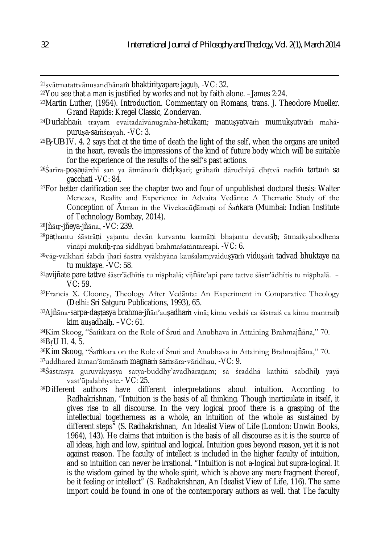<sup>21</sup>svātmatattvānusandhānaṁ bhaktirityapare jaguḥ, -VC: 32.

<sup>22</sup>You see that a man is justified by works and not by faith alone. –James 2:24.

<sup>23</sup>Martin Luther, (1954). Introduction. Commentary on Romans, trans. J. Theodore Mueller. Grand Rapids: Kregel Classic, Zondervan.

- <sup>24</sup>Durlabhaṁ trayam evaitadaivānugraha-hetukam; manuṣyatvaṁ mumukṣutvaṁ mahāpuruṣa-saṁśrayah. -VC: 3.
- <sup>25</sup>*BṛUB* IV. 4. 2 says that at the time of death the light of the self, when the organs are united in the heart, reveals the impressions of the kind of future body which will be suitable for the experience of the results of the self's past actions.

<sup>26</sup>Śarīra-poṣaṇārthī san ya ātmānaṁ didṛkṣati; grāhaṁ dārudhiyā dhṛtvā nadīṁ tartuṁ sa gacchati -VC: 84.

<sup>27</sup>For better clarification see the chapter two and four of unpublished doctoral thesis: Walter Menezes, Reality and Experience in Advaita Vedānta: A Thematic Study of the Conception of Ātman in the Vivekacūdāmani of Śankara (Mumbai: Indian Institute of Technology Bombay, 2014).

<sup>28</sup>Jñātṛ-jñeya-jñāna, -VC: 239.

- <sup>29</sup>paṭhantu śāstrāṇi yajantu devān kurvantu karmāṇi bhajantu devatāḥ; ātmaikyabodhena vināpi muktiḥ-ṛna siddhyati brahmaśatāntareapi. -VC: 6.
- <sup>30</sup>vāg-vaikharī śabda jhari śastra vyākhyāna kauśalam;vaidusyam vidusām tadvad bhuktaye na tu muktaye. -VC: 58.
- <sup>31</sup>avijñate pare tattve śāstr'ādhītis tu niṣphalā; vijñāte'api pare tattve śāstr'ādhītis tu niṣphalā. VC: 59.
- <sup>32</sup>Francis X. Clooney, Theology After Vedānta: An Experiment in Comparative Theology (Delhi: Sri Satguru Publications, 1993), 65.
- <sup>33</sup>Ajñāna-sarpa-daṣṭasya brahma-jñān'auṣadhaṁ vinā; kimu vedaiś ca śāstraiś ca kimu mantraiḥ kim auṣadhaiḥ. –VC: 61.

<sup>34</sup>Kim Skoog, "Śaṁkara on the Role of Śruti and Anubhava in Attaining Brahmajñāna," 70. <sup>35</sup>BṛU II. 4. 5.

<sup>36</sup>Kim Skoog, "Śaṁkara on the Role of Śruti and Anubhava in Attaining Brahmajñāna," 70.

<sup>37</sup>uddhared ātman'ātmānaṁ magnaṁ saṁsāra-vāridhau, -VC: 9.

- <sup>38</sup>Śāstrasya guruvākyasya satya-buddhy'avadhāraṇam; sā śraddhā kathitā sabdhiḥ yayā vast'ūpalabhyate.- VC: 25.
- <sup>39</sup>Different authors have different interpretations about intuition. According to Radhakrishnan, "Intuition is the basis of all thinking. Though inarticulate in itself, it gives rise to all discourse. In the very logical proof there is a grasping of the intellectual togetherness as a whole, an intuition of the whole as sustained by different steps" (S. Radhakrishnan, An Idealist View of Life (London: Unwin Books, 1964), 143). He claims that intuition is the basis of all discourse as it is the source of all ideas, high and low, spiritual and logical. Intuition goes beyond reason, yet it is not against reason. The faculty of intellect is included in the higher faculty of intuition, and so intuition can never be irrational. "Intuition is not a-logical but supra-logical. It is the wisdom gained by the whole spirit, which is above any mere fragment thereof, be it feeling or intellect" (S. Radhakrishnan, An Idealist View of Life, 116). The same import could be found in one of the contemporary authors as well. that The faculty

 $\overline{\phantom{a}}$